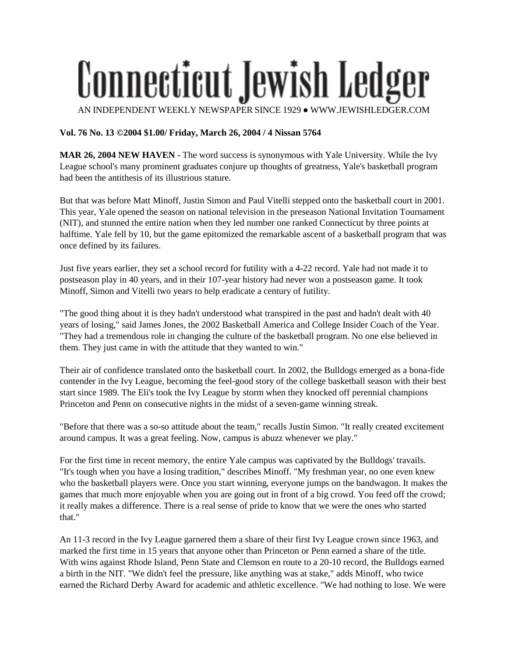## Connecticut Jewish Ledger AN INDEPENDENT WEEKLY NEWSPAPER SINCE 1929 ● WWW.JEWISHLEDGER.COM

## **Vol. 76 No. 13 ©2004 \$1.00/ Friday, March 26, 2004 / 4 Nissan 5764**

**MAR 26, 2004 NEW HAVEN** - The word success is synonymous with Yale University. While the Ivy League school's many prominent graduates conjure up thoughts of greatness, Yale's basketball program had been the antithesis of its illustrious stature.

But that was before Matt Minoff, Justin Simon and Paul Vitelli stepped onto the basketball court in 2001. This year, Yale opened the season on national television in the preseason National Invitation Tournament (NIT), and stunned the entire nation when they led number one ranked Connecticut by three points at halftime. Yale fell by 10, but the game epitomized the remarkable ascent of a basketball program that was once defined by its failures.

Just five years earlier, they set a school record for futility with a 4-22 record. Yale had not made it to postseason play in 40 years, and in their 107-year history had never won a postseason game. It took Minoff, Simon and Vitelli two years to help eradicate a century of futility.

"The good thing about it is they hadn't understood what transpired in the past and hadn't dealt with 40 years of losing," said James Jones, the 2002 Basketball America and College Insider Coach of the Year. "They had a tremendous role in changing the culture of the basketball program. No one else believed in them. They just came in with the attitude that they wanted to win."

Their air of confidence translated onto the basketball court. In 2002, the Bulldogs emerged as a bona-fide contender in the Ivy League, becoming the feel-good story of the college basketball season with their best start since 1989. The Eli's took the Ivy League by storm when they knocked off perennial champions Princeton and Penn on consecutive nights in the midst of a seven-game winning streak.

"Before that there was a so-so attitude about the team," recalls Justin Simon. "It really created excitement around campus. It was a great feeling. Now, campus is abuzz whenever we play."

For the first time in recent memory, the entire Yale campus was captivated by the Bulldogs' travails. "It's tough when you have a losing tradition," describes Minoff. "My freshman year, no one even knew who the basketball players were. Once you start winning, everyone jumps on the bandwagon. It makes the games that much more enjoyable when you are going out in front of a big crowd. You feed off the crowd; it really makes a difference. There is a real sense of pride to know that we were the ones who started that."

An 11-3 record in the Ivy League garnered them a share of their first Ivy League crown since 1963, and marked the first time in 15 years that anyone other than Princeton or Penn earned a share of the title. With wins against Rhode Island, Penn State and Clemson en route to a 20-10 record, the Bulldogs earned a birth in the NIT. "We didn't feel the pressure, like anything was at stake," adds Minoff, who twice earned the Richard Derby Award for academic and athletic excellence. "We had nothing to lose. We were